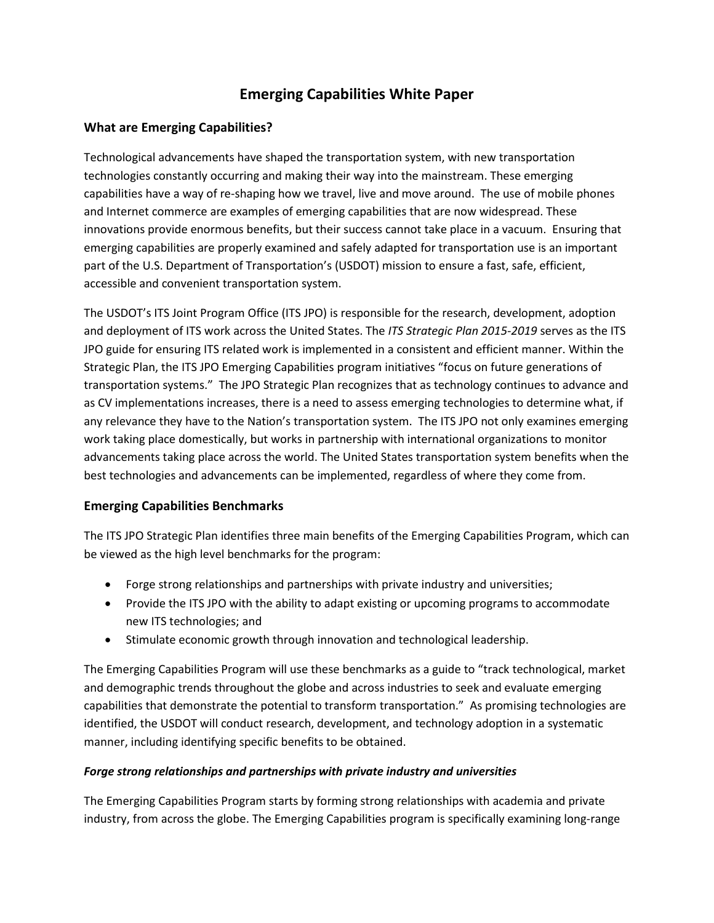# **Emerging Capabilities White Paper**

## **What are Emerging Capabilities?**

Technological advancements have shaped the transportation system, with new transportation technologies constantly occurring and making their way into the mainstream. These emerging capabilities have a way of re-shaping how we travel, live and move around. The use of mobile phones and Internet commerce are examples of emerging capabilities that are now widespread. These innovations provide enormous benefits, but their success cannot take place in a vacuum. Ensuring that emerging capabilities are properly examined and safely adapted for transportation use is an important part of the U.S. Department of Transportation's (USDOT) mission to ensure a fast, safe, efficient, accessible and convenient transportation system.

The USDOT's ITS Joint Program Office (ITS JPO) is responsible for the research, development, adoption and deployment of ITS work across the United States. The *ITS Strategic Plan 2015-2019* serves as the ITS JPO guide for ensuring ITS related work is implemented in a consistent and efficient manner. Within the Strategic Plan, the ITS JPO Emerging Capabilities program initiatives "focus on future generations of transportation systems." The JPO Strategic Plan recognizes that as technology continues to advance and as CV implementations increases, there is a need to assess emerging technologies to determine what, if any relevance they have to the Nation's transportation system. The ITS JPO not only examines emerging work taking place domestically, but works in partnership with international organizations to monitor advancements taking place across the world. The United States transportation system benefits when the best technologies and advancements can be implemented, regardless of where they come from.

### **Emerging Capabilities Benchmarks**

The ITS JPO Strategic Plan identifies three main benefits of the Emerging Capabilities Program, which can be viewed as the high level benchmarks for the program:

- Forge strong relationships and partnerships with private industry and universities;
- Provide the ITS JPO with the ability to adapt existing or upcoming programs to accommodate new ITS technologies; and
- Stimulate economic growth through innovation and technological leadership.

The Emerging Capabilities Program will use these benchmarks as a guide to "track technological, market and demographic trends throughout the globe and across industries to seek and evaluate emerging capabilities that demonstrate the potential to transform transportation." As promising technologies are identified, the USDOT will conduct research, development, and technology adoption in a systematic manner, including identifying specific benefits to be obtained.

### *Forge strong relationships and partnerships with private industry and universities*

The Emerging Capabilities Program starts by forming strong relationships with academia and private industry, from across the globe. The Emerging Capabilities program is specifically examining long-range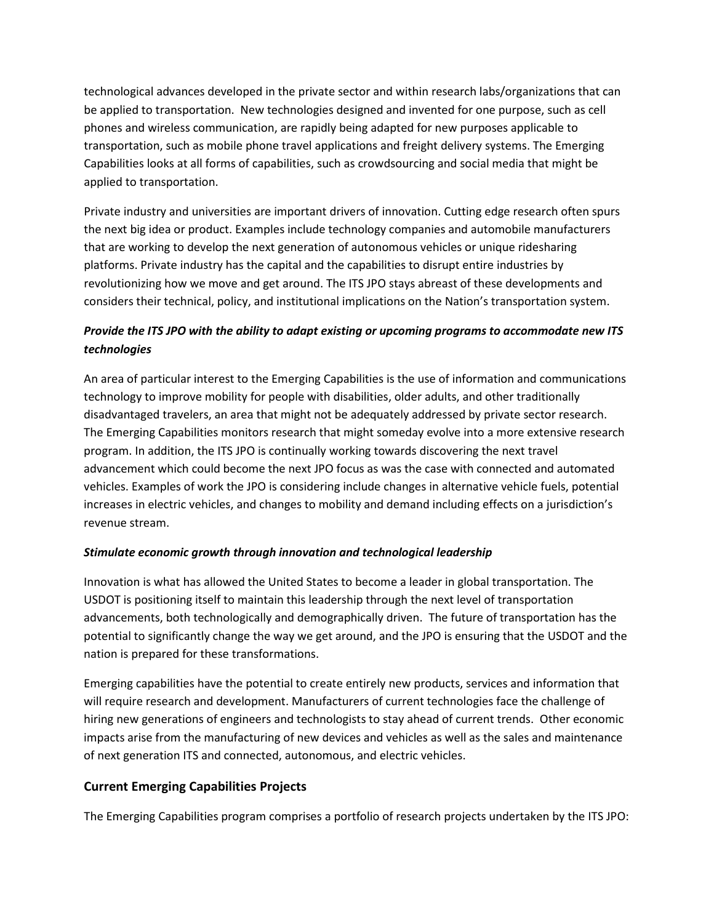technological advances developed in the private sector and within research labs/organizations that can be applied to transportation. New technologies designed and invented for one purpose, such as cell phones and wireless communication, are rapidly being adapted for new purposes applicable to transportation, such as mobile phone travel applications and freight delivery systems. The Emerging Capabilities looks at all forms of capabilities, such as crowdsourcing and social media that might be applied to transportation.

Private industry and universities are important drivers of innovation. Cutting edge research often spurs the next big idea or product. Examples include technology companies and automobile manufacturers that are working to develop the next generation of autonomous vehicles or unique ridesharing platforms. Private industry has the capital and the capabilities to disrupt entire industries by revolutionizing how we move and get around. The ITS JPO stays abreast of these developments and considers their technical, policy, and institutional implications on the Nation's transportation system.

# *Provide the ITS JPO with the ability to adapt existing or upcoming programs to accommodate new ITS technologies*

An area of particular interest to the Emerging Capabilities is the use of information and communications technology to improve mobility for people with disabilities, older adults, and other traditionally disadvantaged travelers, an area that might not be adequately addressed by private sector research. The Emerging Capabilities monitors research that might someday evolve into a more extensive research program. In addition, the ITS JPO is continually working towards discovering the next travel advancement which could become the next JPO focus as was the case with connected and automated vehicles. Examples of work the JPO is considering include changes in alternative vehicle fuels, potential increases in electric vehicles, and changes to mobility and demand including effects on a jurisdiction's revenue stream.

### *Stimulate economic growth through innovation and technological leadership*

Innovation is what has allowed the United States to become a leader in global transportation. The USDOT is positioning itself to maintain this leadership through the next level of transportation advancements, both technologically and demographically driven. The future of transportation has the potential to significantly change the way we get around, and the JPO is ensuring that the USDOT and the nation is prepared for these transformations.

Emerging capabilities have the potential to create entirely new products, services and information that will require research and development. Manufacturers of current technologies face the challenge of hiring new generations of engineers and technologists to stay ahead of current trends. Other economic impacts arise from the manufacturing of new devices and vehicles as well as the sales and maintenance of next generation ITS and connected, autonomous, and electric vehicles.

### **Current Emerging Capabilities Projects**

The Emerging Capabilities program comprises a portfolio of research projects undertaken by the ITS JPO: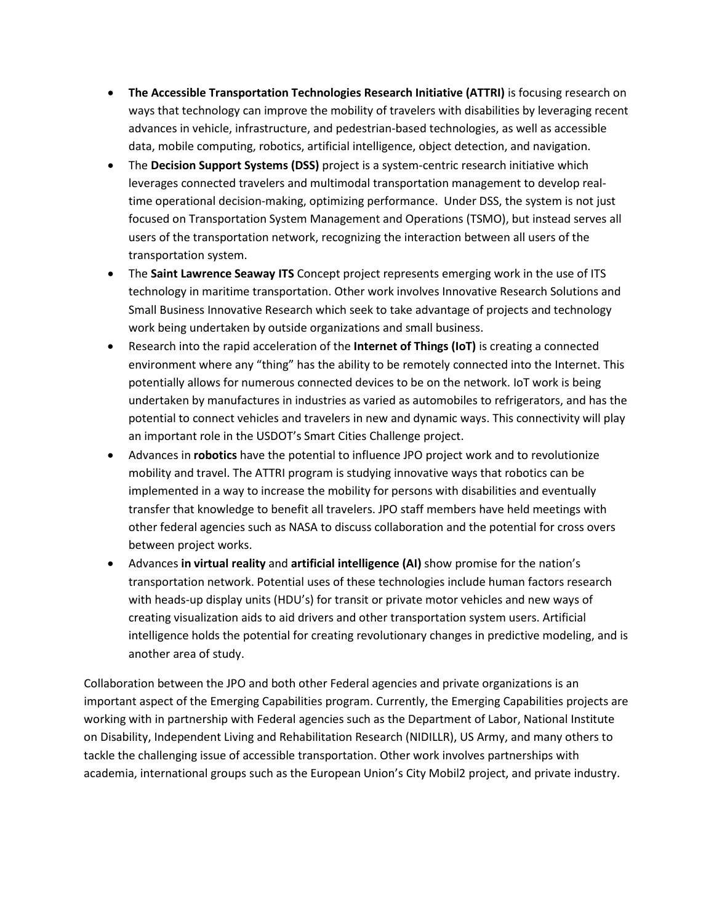- **The Accessible Transportation Technologies Research Initiative (ATTRI)** is focusing research on ways that technology can improve the mobility of travelers with disabilities by leveraging recent advances in vehicle, infrastructure, and pedestrian-based technologies, as well as accessible data, mobile computing, robotics, artificial intelligence, object detection, and navigation.
- The **Decision Support Systems (DSS)** project is a system-centric research initiative which leverages connected travelers and multimodal transportation management to develop realtime operational decision-making, optimizing performance. Under DSS, the system is not just focused on Transportation System Management and Operations (TSMO), but instead serves all users of the transportation network, recognizing the interaction between all users of the transportation system.
- The **Saint Lawrence Seaway ITS** Concept project represents emerging work in the use of ITS technology in maritime transportation. Other work involves Innovative Research Solutions and Small Business Innovative Research which seek to take advantage of projects and technology work being undertaken by outside organizations and small business.
- Research into the rapid acceleration of the **Internet of Things (IoT)** is creating a connected environment where any "thing" has the ability to be remotely connected into the Internet. This potentially allows for numerous connected devices to be on the network. IoT work is being undertaken by manufactures in industries as varied as automobiles to refrigerators, and has the potential to connect vehicles and travelers in new and dynamic ways. This connectivity will play an important role in the USDOT's Smart Cities Challenge project.
- Advances in **robotics** have the potential to influence JPO project work and to revolutionize mobility and travel. The ATTRI program is studying innovative ways that robotics can be implemented in a way to increase the mobility for persons with disabilities and eventually transfer that knowledge to benefit all travelers. JPO staff members have held meetings with other federal agencies such as NASA to discuss collaboration and the potential for cross overs between project works.
- Advances **in virtual reality** and **artificial intelligence (AI)** show promise for the nation's transportation network. Potential uses of these technologies include human factors research with heads-up display units (HDU's) for transit or private motor vehicles and new ways of creating visualization aids to aid drivers and other transportation system users. Artificial intelligence holds the potential for creating revolutionary changes in predictive modeling, and is another area of study.

Collaboration between the JPO and both other Federal agencies and private organizations is an important aspect of the Emerging Capabilities program. Currently, the Emerging Capabilities projects are working with in partnership with Federal agencies such as the Department of Labor, National Institute on Disability, Independent Living and Rehabilitation Research (NIDILLR), US Army, and many others to tackle the challenging issue of accessible transportation. Other work involves partnerships with academia, international groups such as the European Union's City Mobil2 project, and private industry.